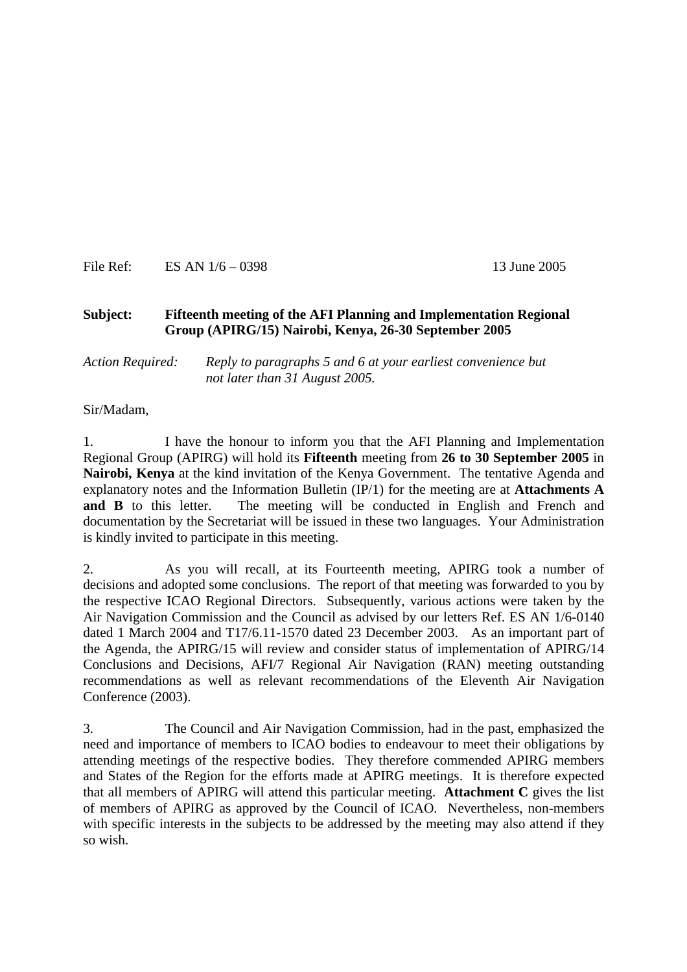File Ref: ES AN  $1/6 - 0398$  13 June 2005

#### **Subject: Fifteenth meeting of the AFI Planning and Implementation Regional Group (APIRG/15) Nairobi, Kenya, 26-30 September 2005**

#### *Action Required: Reply to paragraphs 5 and 6 at your earliest convenience but not later than 31 August 2005.*

Sir/Madam,

1. I have the honour to inform you that the AFI Planning and Implementation Regional Group (APIRG) will hold its **Fifteenth** meeting from **26 to 30 September 2005** in **Nairobi, Kenya** at the kind invitation of the Kenya Government. The tentative Agenda and explanatory notes and the Information Bulletin (IP/1) for the meeting are at **Attachments A and B** to this letter. The meeting will be conducted in English and French and documentation by the Secretariat will be issued in these two languages. Your Administration is kindly invited to participate in this meeting.

2. As you will recall, at its Fourteenth meeting, APIRG took a number of decisions and adopted some conclusions. The report of that meeting was forwarded to you by the respective ICAO Regional Directors. Subsequently, various actions were taken by the Air Navigation Commission and the Council as advised by our letters Ref. ES AN 1/6-0140 dated 1 March 2004 and T17/6.11-1570 dated 23 December 2003. As an important part of the Agenda, the APIRG/15 will review and consider status of implementation of APIRG/14 Conclusions and Decisions, AFI/7 Regional Air Navigation (RAN) meeting outstanding recommendations as well as relevant recommendations of the Eleventh Air Navigation Conference (2003).

3. The Council and Air Navigation Commission, had in the past, emphasized the need and importance of members to ICAO bodies to endeavour to meet their obligations by attending meetings of the respective bodies. They therefore commended APIRG members and States of the Region for the efforts made at APIRG meetings. It is therefore expected that all members of APIRG will attend this particular meeting. **Attachment C** gives the list of members of APIRG as approved by the Council of ICAO. Nevertheless, non-members with specific interests in the subjects to be addressed by the meeting may also attend if they so wish.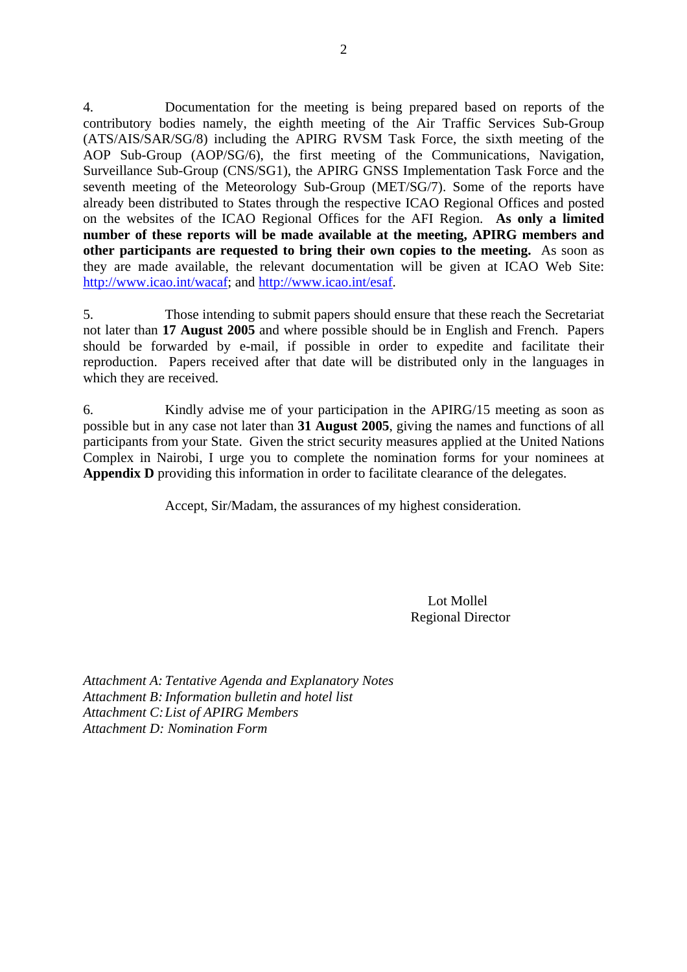4. Documentation for the meeting is being prepared based on reports of the contributory bodies namely, the eighth meeting of the Air Traffic Services Sub-Group (ATS/AIS/SAR/SG/8) including the APIRG RVSM Task Force, the sixth meeting of the AOP Sub-Group (AOP/SG/6), the first meeting of the Communications, Navigation, Surveillance Sub-Group (CNS/SG1), the APIRG GNSS Implementation Task Force and the seventh meeting of the Meteorology Sub-Group (MET/SG/7). Some of the reports have already been distributed to States through the respective ICAO Regional Offices and posted on the websites of the ICAO Regional Offices for the AFI Region. **As only a limited number of these reports will be made available at the meeting, APIRG members and other participants are requested to bring their own copies to the meeting.** As soon as they are made available, the relevant documentation will be given at ICAO Web Site: <http://www.icao.int/wacaf>; and [http://www.icao.int/esaf.](http://www.icao.int/esaf)

5. Those intending to submit papers should ensure that these reach the Secretariat not later than **17 August 2005** and where possible should be in English and French. Papers should be forwarded by e-mail, if possible in order to expedite and facilitate their reproduction. Papers received after that date will be distributed only in the languages in which they are received.

6. Kindly advise me of your participation in the APIRG/15 meeting as soon as possible but in any case not later than **31 August 2005**, giving the names and functions of all participants from your State. Given the strict security measures applied at the United Nations Complex in Nairobi, I urge you to complete the nomination forms for your nominees at Appendix D providing this information in order to facilitate clearance of the delegates.

Accept, Sir/Madam, the assurances of my highest consideration.

 Lot Mollel Regional Director

*Attachment A: Tentative Agenda and Explanatory Notes Attachment B: Information bulletin and hotel list Attachment C: List of APIRG Members Attachment D: Nomination Form*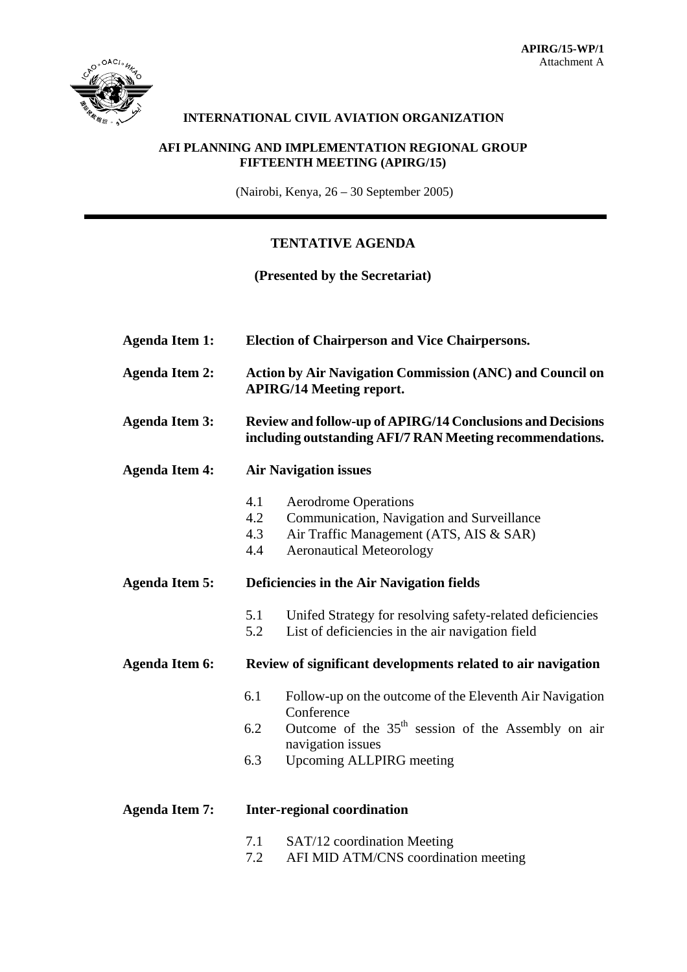

#### **INTERNATIONAL CIVIL AVIATION ORGANIZATION**

#### **AFI PLANNING AND IMPLEMENTATION REGIONAL GROUP FIFTEENTH MEETING (APIRG/15)**

(Nairobi, Kenya, 26 – 30 September 2005)

## **TENTATIVE AGENDA**

#### **(Presented by the Secretariat)**

| <b>Agenda Item 1:</b> | <b>Election of Chairperson and Vice Chairpersons.</b>                                                                         |                                                                                                                                                                                                 |  |  |  |
|-----------------------|-------------------------------------------------------------------------------------------------------------------------------|-------------------------------------------------------------------------------------------------------------------------------------------------------------------------------------------------|--|--|--|
| <b>Agenda Item 2:</b> | <b>Action by Air Navigation Commission (ANC) and Council on</b><br><b>APIRG/14 Meeting report.</b>                            |                                                                                                                                                                                                 |  |  |  |
| <b>Agenda Item 3:</b> | <b>Review and follow-up of APIRG/14 Conclusions and Decisions</b><br>including outstanding AFI/7 RAN Meeting recommendations. |                                                                                                                                                                                                 |  |  |  |
| <b>Agenda Item 4:</b> | <b>Air Navigation issues</b>                                                                                                  |                                                                                                                                                                                                 |  |  |  |
|                       | 4.1<br>4.2<br>4.3<br>4.4                                                                                                      | <b>Aerodrome Operations</b><br>Communication, Navigation and Surveillance<br>Air Traffic Management (ATS, AIS & SAR)<br><b>Aeronautical Meteorology</b>                                         |  |  |  |
| <b>Agenda Item 5:</b> | Deficiencies in the Air Navigation fields                                                                                     |                                                                                                                                                                                                 |  |  |  |
|                       | 5.1<br>5.2                                                                                                                    | Unifed Strategy for resolving safety-related deficiencies<br>List of deficiencies in the air navigation field                                                                                   |  |  |  |
| <b>Agenda Item 6:</b> | Review of significant developments related to air navigation                                                                  |                                                                                                                                                                                                 |  |  |  |
|                       | 6.1<br>6.2<br>6.3                                                                                                             | Follow-up on the outcome of the Eleventh Air Navigation<br>Conference<br>Outcome of the 35 <sup>th</sup> session of the Assembly on air<br>navigation issues<br><b>Upcoming ALLPIRG meeting</b> |  |  |  |
| <b>Agenda Item 7:</b> | <b>Inter-regional coordination</b>                                                                                            |                                                                                                                                                                                                 |  |  |  |
|                       |                                                                                                                               | $7.1 \qquad \beta \wedge T/12$ coordination Meeting                                                                                                                                             |  |  |  |

- 7.1 SAT/12 coordination Meeting
- 7.2 AFI MID ATM/CNS coordination meeting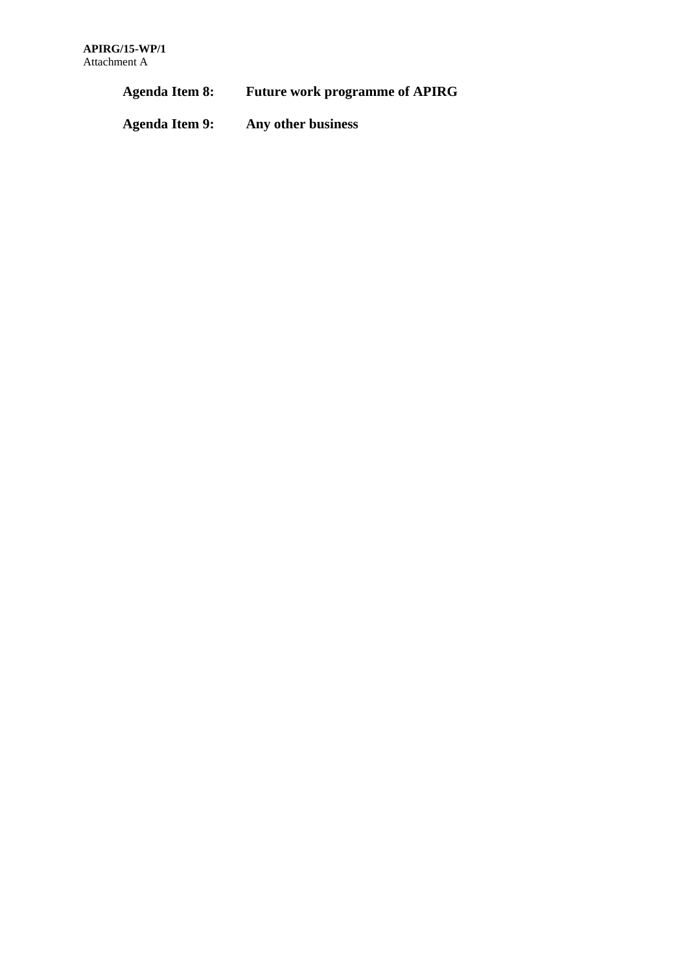**Agenda Item 8: Future work programme of APIRG** 

**Agenda Item 9: Any other business**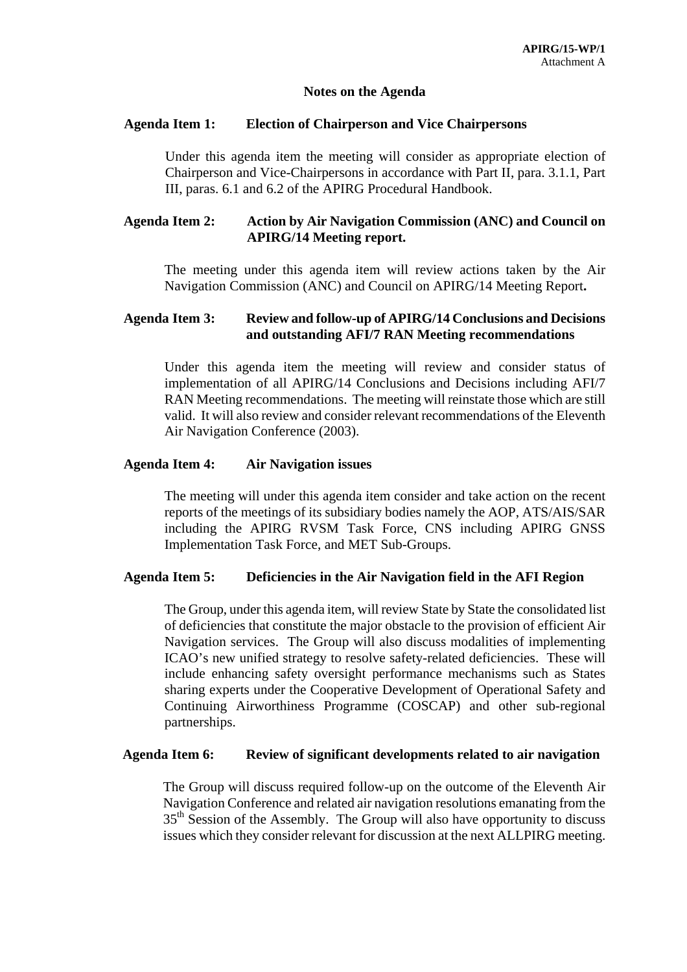#### **Notes on the Agenda**

#### **Agenda Item 1: Election of Chairperson and Vice Chairpersons**

Under this agenda item the meeting will consider as appropriate election of Chairperson and Vice-Chairpersons in accordance with Part II, para. 3.1.1, Part III, paras. 6.1 and 6.2 of the APIRG Procedural Handbook.

#### **Agenda Item 2: Action by Air Navigation Commission (ANC) and Council on APIRG/14 Meeting report.**

The meeting under this agenda item will review actions taken by the Air Navigation Commission (ANC) and Council on APIRG/14 Meeting Report**.** 

#### **Agenda Item 3: Review and follow-up of APIRG/14 Conclusions and Decisions and outstanding AFI/7 RAN Meeting recommendations**

Under this agenda item the meeting will review and consider status of implementation of all APIRG/14 Conclusions and Decisions including AFI/7 RAN Meeting recommendations. The meeting will reinstate those which are still valid. It will also review and consider relevant recommendations of the Eleventh Air Navigation Conference (2003).

#### **Agenda Item 4: Air Navigation issues**

The meeting will under this agenda item consider and take action on the recent reports of the meetings of its subsidiary bodies namely the AOP, ATS/AIS/SAR including the APIRG RVSM Task Force, CNS including APIRG GNSS Implementation Task Force, and MET Sub-Groups.

#### **Agenda Item 5: Deficiencies in the Air Navigation field in the AFI Region**

The Group, under this agenda item, will review State by State the consolidated list of deficiencies that constitute the major obstacle to the provision of efficient Air Navigation services. The Group will also discuss modalities of implementing ICAO's new unified strategy to resolve safety-related deficiencies. These will include enhancing safety oversight performance mechanisms such as States sharing experts under the Cooperative Development of Operational Safety and Continuing Airworthiness Programme (COSCAP) and other sub-regional partnerships.

#### **Agenda Item 6: Review of significant developments related to air navigation**

The Group will discuss required follow-up on the outcome of the Eleventh Air Navigation Conference and related air navigation resolutions emanating from the  $35<sup>th</sup>$  Session of the Assembly. The Group will also have opportunity to discuss issues which they consider relevant for discussion at the next ALLPIRG meeting.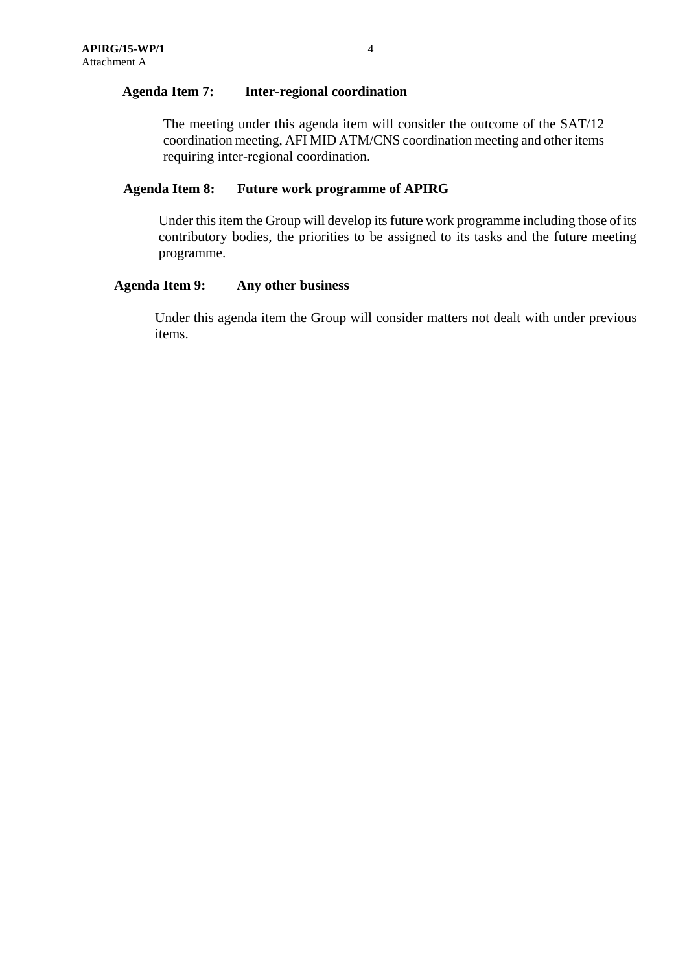#### **Agenda Item 7: Inter-regional coordination**

The meeting under this agenda item will consider the outcome of the SAT/12 coordination meeting, AFI MID ATM/CNS coordination meeting and other items requiring inter-regional coordination.

#### **Agenda Item 8: Future work programme of APIRG**

Under this item the Group will develop its future work programme including those of its contributory bodies, the priorities to be assigned to its tasks and the future meeting programme.

#### **Agenda Item 9: Any other business**

Under this agenda item the Group will consider matters not dealt with under previous items.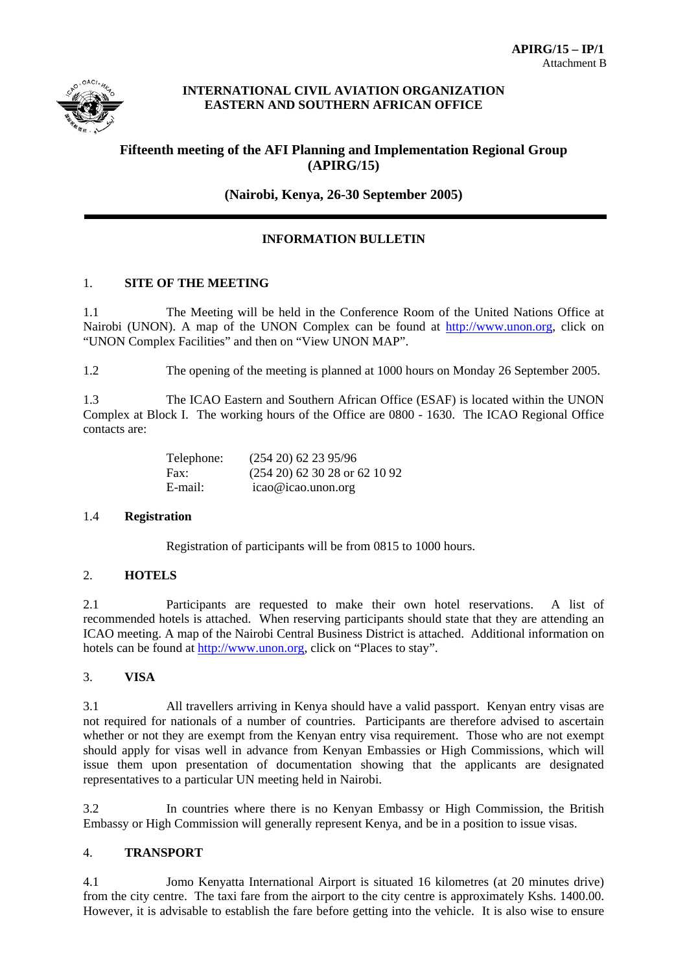

#### **INTERNATIONAL CIVIL AVIATION ORGANIZATION EASTERN AND SOUTHERN AFRICAN OFFICE**

### **Fifteenth meeting of the AFI Planning and Implementation Regional Group (APIRG/15)**

**(Nairobi, Kenya, 26-30 September 2005)**

#### **INFORMATION BULLETIN**

#### 1. **SITE OF THE MEETING**

1.1 The Meeting will be held in the Conference Room of the United Nations Office at Nairobi (UNON). A map of the UNON Complex can be found at http://www.unon.org, click on "UNON Complex Facilities" and then on "View UNON MAP".

1.2 The opening of the meeting is planned at 1000 hours on Monday 26 September 2005.

1.3 The ICAO Eastern and Southern African Office (ESAF) is located within the UNON Complex at Block I. The working hours of the Office are 0800 - 1630. The ICAO Regional Office contacts are:

| Telephone: | $(254\ 20)\ 62\ 23\ 95/96$       |
|------------|----------------------------------|
| Fax:       | $(254\ 20)$ 62 30 28 or 62 10 92 |
| E-mail:    | $icao@icao.$ unon.org            |

#### 1.4 **Registration**

Registration of participants will be from 0815 to 1000 hours.

#### 2. **HOTELS**

2.1 Participants are requested to make their own hotel reservations. A list of recommended hotels is attached. When reserving participants should state that they are attending an ICAO meeting. A map of the Nairobi Central Business District is attached. Additional information on hotels can be found at http://www.unon.org, click on "Places to stay".

#### 3. **VISA**

3.1 All travellers arriving in Kenya should have a valid passport. Kenyan entry visas are not required for nationals of a number of countries. Participants are therefore advised to ascertain whether or not they are exempt from the Kenyan entry visa requirement. Those who are not exempt should apply for visas well in advance from Kenyan Embassies or High Commissions, which will issue them upon presentation of documentation showing that the applicants are designated representatives to a particular UN meeting held in Nairobi.

3.2 In countries where there is no Kenyan Embassy or High Commission, the British Embassy or High Commission will generally represent Kenya, and be in a position to issue visas.

#### 4. **TRANSPORT**

4.1 Jomo Kenyatta International Airport is situated 16 kilometres (at 20 minutes drive) from the city centre. The taxi fare from the airport to the city centre is approximately Kshs. 1400.00. However, it is advisable to establish the fare before getting into the vehicle. It is also wise to ensure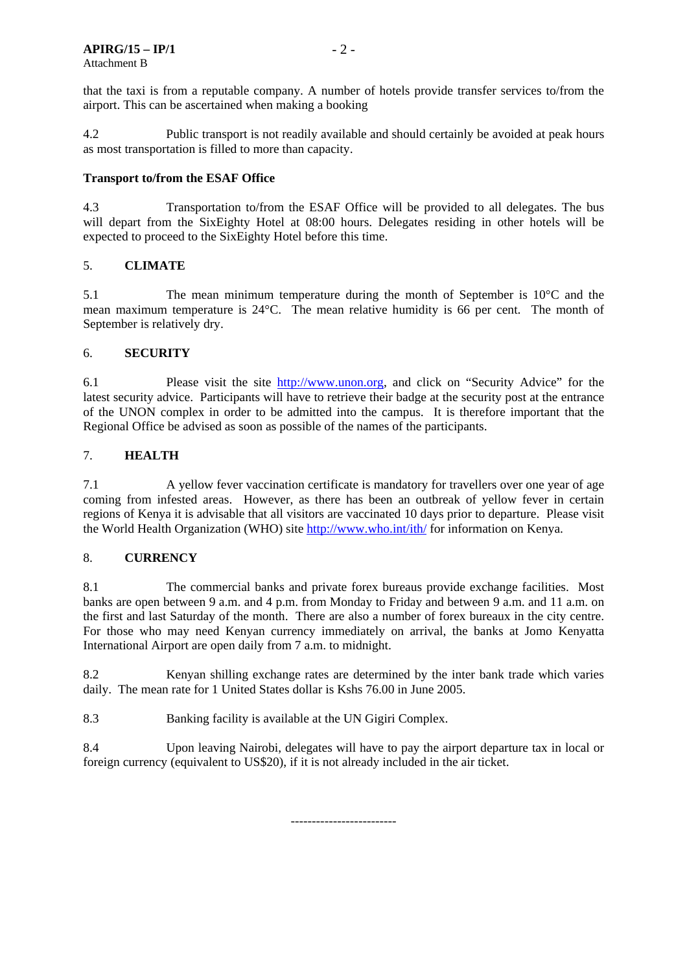that the taxi is from a reputable company. A number of hotels provide transfer services to/from the airport. This can be ascertained when making a booking

4.2 Public transport is not readily available and should certainly be avoided at peak hours as most transportation is filled to more than capacity.

#### **Transport to/from the ESAF Office**

4.3 Transportation to/from the ESAF Office will be provided to all delegates. The bus will depart from the SixEighty Hotel at 08:00 hours. Delegates residing in other hotels will be expected to proceed to the SixEighty Hotel before this time.

#### 5. **CLIMATE**

5.1 The mean minimum temperature during the month of September is 10°C and the mean maximum temperature is 24°C. The mean relative humidity is 66 per cent. The month of September is relatively dry.

#### 6. **SECURITY**

6.1 Please visit the site http://www.unon.org, and click on "Security Advice" for the latest security advice. Participants will have to retrieve their badge at the security post at the entrance of the UNON complex in order to be admitted into the campus. It is therefore important that the Regional Office be advised as soon as possible of the names of the participants.

#### 7. **HEALTH**

7.1 A yellow fever vaccination certificate is mandatory for travellers over one year of age coming from infested areas. However, as there has been an outbreak of yellow fever in certain regions of Kenya it is advisable that all visitors are vaccinated 10 days prior to departure. Please visit the World Health Organization (WHO) site http://www.who.int/ith/ for information on Kenya.

#### 8. **CURRENCY**

8.1 The commercial banks and private forex bureaus provide exchange facilities. Most banks are open between 9 a.m. and 4 p.m. from Monday to Friday and between 9 a.m. and 11 a.m. on the first and last Saturday of the month. There are also a number of forex bureaux in the city centre. For those who may need Kenyan currency immediately on arrival, the banks at Jomo Kenyatta International Airport are open daily from 7 a.m. to midnight.

8.2 Kenyan shilling exchange rates are determined by the inter bank trade which varies daily. The mean rate for 1 United States dollar is Kshs 76.00 in June 2005.

8.3 Banking facility is available at the UN Gigiri Complex.

8.4 Upon leaving Nairobi, delegates will have to pay the airport departure tax in local or foreign currency (equivalent to US\$20), if it is not already included in the air ticket.

-------------------------

 $-2-$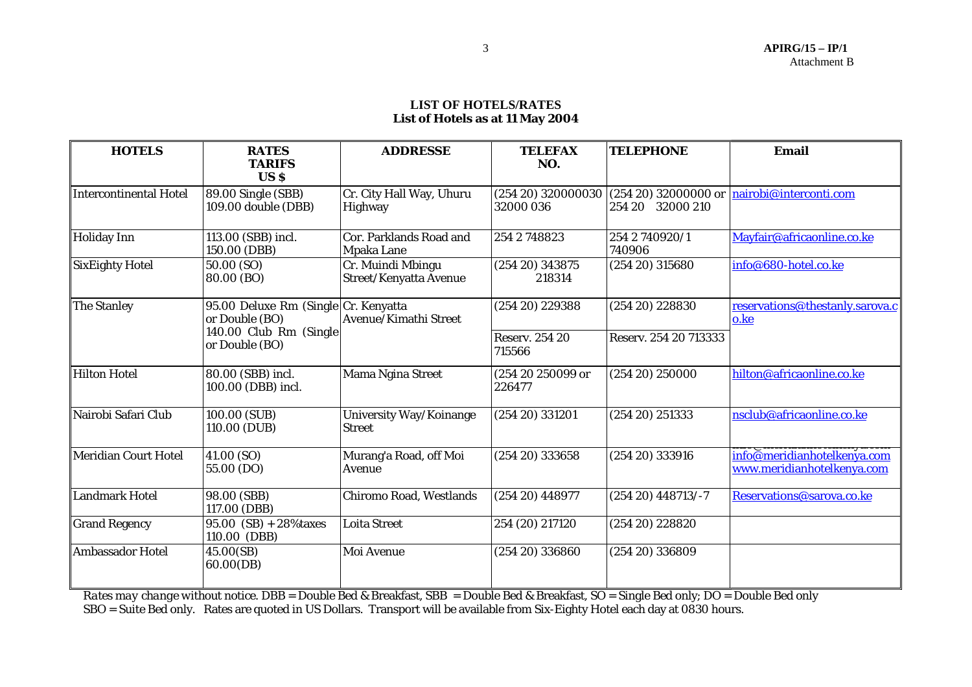#### **LIST OF HOTELS/RATES List of Hotels as at 11 May 2004**

| <b>HOTELS</b>           | <b>RATES</b><br><b>TARIFS</b><br><b>USS</b>            | <b>ADDRESSE</b>                              | <b>TELEFAX</b><br>NO.           | <b>TELEPHONE</b>         | <b>Email</b>                                              |
|-------------------------|--------------------------------------------------------|----------------------------------------------|---------------------------------|--------------------------|-----------------------------------------------------------|
| Intercontinental Hotel  | 89.00 Single (SBB)<br>109.00 double (DBB)              | Cr. City Hall Way, Uhuru<br>Highway          | (254 20) 320000030<br>32000 036 | 254 20 32000 210         | $(254 20) 32000000$ or $nairobi@interconti.com$           |
| Holiday Inn             | 113.00 (SBB) incl.<br>150.00 (DBB)                     | Cor. Parklands Road and<br><b>Mpaka Lane</b> | 254 2 748823                    | 254 2 740920/1<br>740906 | Mayfair@africaonline.co.ke                                |
| SixEighty Hotel         | 50.00 (SO)<br>80.00 (BO)                               | Cr. Muindi Mbingu<br>Street/Kenyatta Avenue  | $(254\ 20)\ 343875$<br>218314   | $(254\ 20)\ 315680$      | info@680-hotel.co.ke                                      |
| The Stanley             | 95.00 Deluxe Rm (Single Cr. Kenyatta<br>or Double (BO) | Avenue/Kimathi Street                        | (254 20) 229388                 | $(254\ 20)\ 228830$      | reservations@thestanly.sarova.c<br>o.ke                   |
|                         | 140.00 Club Rm (Single)<br>or Double (BO)              |                                              | <b>Reserv. 254 20</b><br>715566 | Reserv. 254 20 713333    |                                                           |
| Hilton Hotel            | 80.00 (SBB) incl.<br>100.00 (DBB) incl.                | <b>Mama Ngina Street</b>                     | (254 20 250099 or<br>226477     | $(254\ 20)\ 250000$      | hilton@africaonline.co.ke                                 |
| Nairobi Safari Club     | 100.00 (SUB)<br>110.00 (DUB)                           | University Way/Koinange<br><b>Street</b>     | $(254\ 20)\ 331201$             | $(254\ 20)\ 251333$      | nsclub@africaonline.co.ke                                 |
| Meridian Court Hotel    | 41.00 (SO)<br>55.00 (DO)                               | Murang'a Road, off Moi<br>Avenue             | $(254\ 20)\ 333658$             | $(254\ 20)\ 333916$      | info@meridianhotelkenya.com<br>www.meridianhotelkenya.com |
| Landmark Hotel          | 98.00 (SBB)<br>117.00 (DBB)                            | Chiromo Road, Westlands                      | $(254\ 20)\ 448977$             | $(254 20)$ 448713/-7     | Reservations@sarova.co.ke                                 |
| <b>Grand Regency</b>    | $95.00$ (SB) + 28% taxes<br>110.00 (DBB)               | <b>Loita Street</b>                          | 254 (20) 217120                 | $(254\ 20)\ 228820$      |                                                           |
| <b>Ambassador Hotel</b> | 45.00(SB)<br>60.00(DB)                                 | Moi Avenue                                   | $(254\ 20)\ 336860$             | $(254\ 20)\ 336809$      |                                                           |

*Rates may change without notice.* DBB = Double Bed & Breakfast, SBB = Double Bed & Breakfast, SO = Single Bed only; DO = Double Bed only SBO = Suite Bed only. Rates are quoted in US Dollars. Transport will be available from Six-Eighty Hotel each day at 0830 hours.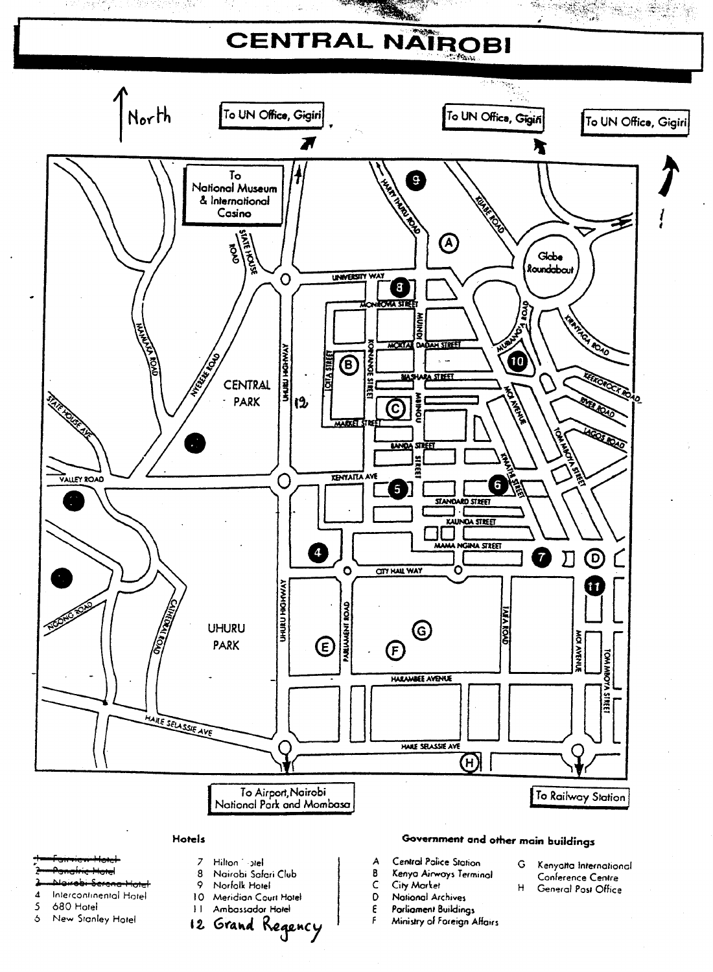# CENTRAL NATROBI

**PARALLE** 



#### Hotels

- 
- 
- $\overline{A}$ Intercontinental Hatel
- 5 680 Hotel
- New Stanley Hotel  $\ddot{\circ}$
- $\overline{z}$ Hilton 1-ptel 8
- Nairobi Safari Club  $\mathbf 9$ Norfolk Hotel
- 10 Meridian Court Hotel
- 11 Ambassador Hotel
- 
- 12 Grand Regency

# Government and other main buildings

H

- Central Police Station А
- B Kenya Airways Terminal
- $\mathsf C$ City Market
- D National Archives
- $\pmb{\epsilon}$ Parliament Buildings  $\pmb{\mathsf{F}}$ 
	- Ministry of Foreign Affairs
- G Kenyatta International Conference Centre

88.23 P

Ŷ.

General Post Office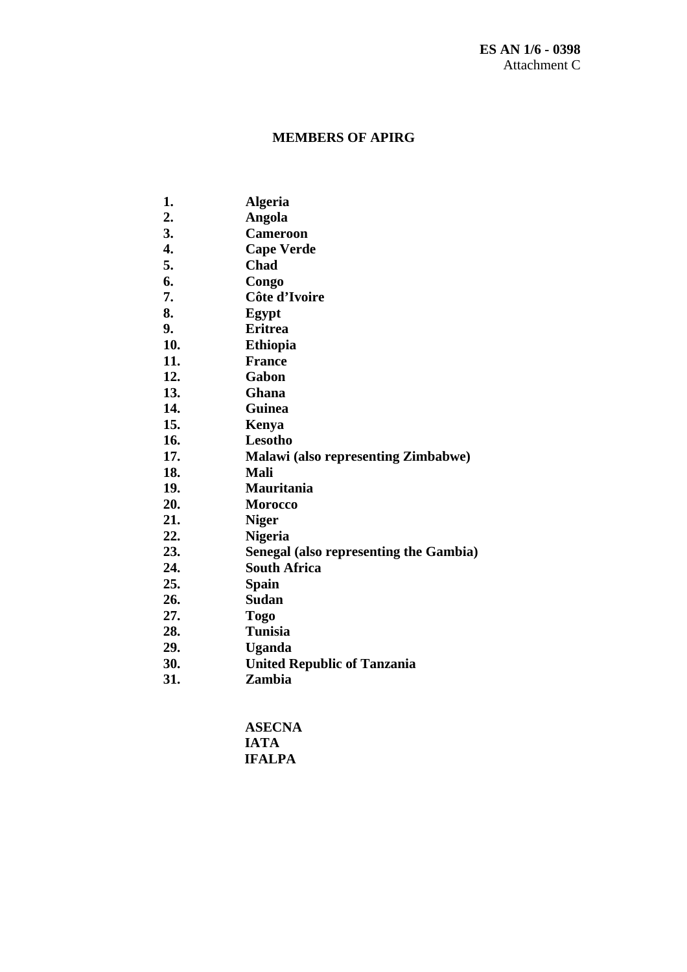### **MEMBERS OF APIRG**

- **1. Algeria**
- **2. Angola**
- **3. Cameroon**
- **4. Cape Verde**
- **5. Chad**
- **6. Congo**
- **7. Côte d'Ivoire**
- **8. Egypt**
- **9. Eritrea**
- **10. Ethiopia**
- **11. France**
- **12. Gabon**
- **13. Ghana**
- **14. Guinea**
- **15. Kenya**
- **16. Lesotho**
- **17. Malawi (also representing Zimbabwe)**
- **18. Mali**
- **19. Mauritania**
- **20. Morocco**
- **21. Niger**
- **22. Nigeria**
- **23. Senegal (also representing the Gambia)**
- **24. South Africa**
- **25. Spain**
- **26. Sudan**
- **27. Togo**
- **28. Tunisia**
- **29. Uganda**
- **30. United Republic of Tanzania**
- **31. Zambia**

**ASECNA IATA IFALPA**